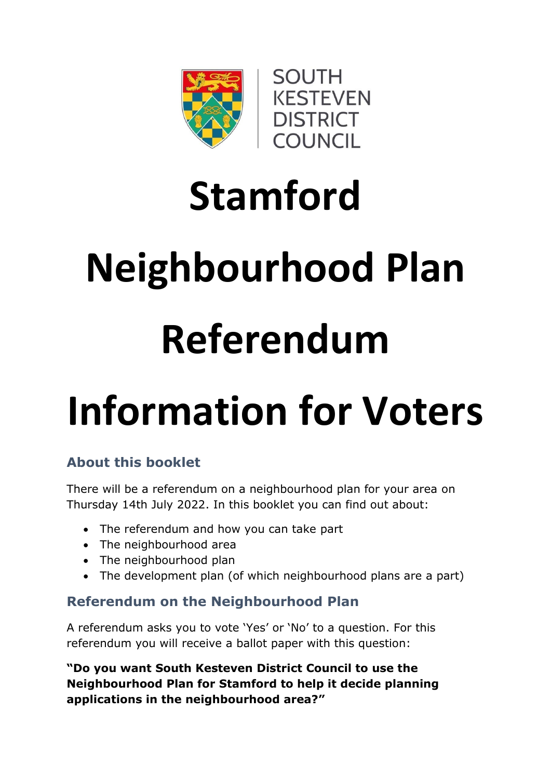

# **Stamford Neighbourhood Plan Referendum**

# **Information for Voters**

# **About this booklet**

There will be a referendum on a neighbourhood plan for your area on Thursday 14th July 2022. In this booklet you can find out about:

- The referendum and how you can take part
- The neighbourhood area
- The neighbourhood plan
- The development plan (of which neighbourhood plans are a part)

# **Referendum on the Neighbourhood Plan**

A referendum asks you to vote 'Yes' or 'No' to a question. For this referendum you will receive a ballot paper with this question:

**"Do you want South Kesteven District Council to use the Neighbourhood Plan for Stamford to help it decide planning applications in the neighbourhood area?"**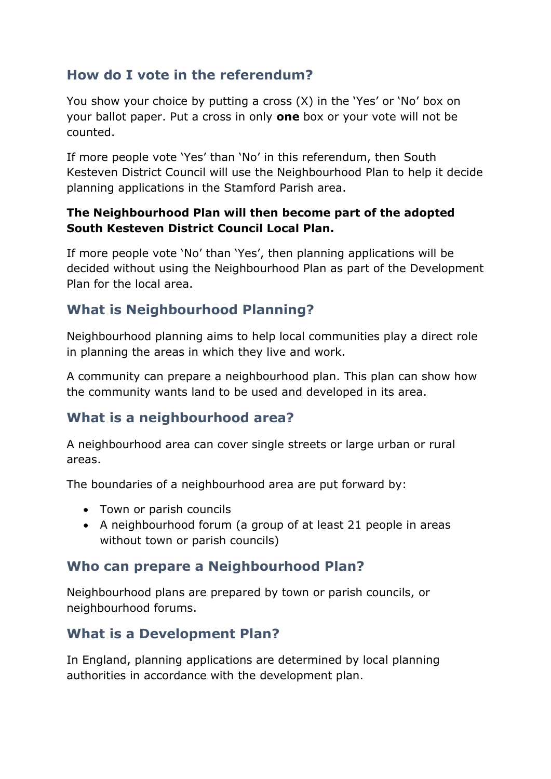# **How do I vote in the referendum?**

You show your choice by putting a cross (X) in the 'Yes' or 'No' box on your ballot paper. Put a cross in only **one** box or your vote will not be counted.

If more people vote 'Yes' than 'No' in this referendum, then South Kesteven District Council will use the Neighbourhood Plan to help it decide planning applications in the Stamford Parish area.

#### **The Neighbourhood Plan will then become part of the adopted South Kesteven District Council Local Plan.**

If more people vote 'No' than 'Yes', then planning applications will be decided without using the Neighbourhood Plan as part of the Development Plan for the local area.

# **What is Neighbourhood Planning?**

Neighbourhood planning aims to help local communities play a direct role in planning the areas in which they live and work.

A community can prepare a neighbourhood plan. This plan can show how the community wants land to be used and developed in its area.

# **What is a neighbourhood area?**

A neighbourhood area can cover single streets or large urban or rural areas.

The boundaries of a neighbourhood area are put forward by:

- Town or parish councils
- A neighbourhood forum (a group of at least 21 people in areas without town or parish councils)

#### **Who can prepare a Neighbourhood Plan?**

Neighbourhood plans are prepared by town or parish councils, or neighbourhood forums.

# **What is a Development Plan?**

In England, planning applications are determined by local planning authorities in accordance with the development plan.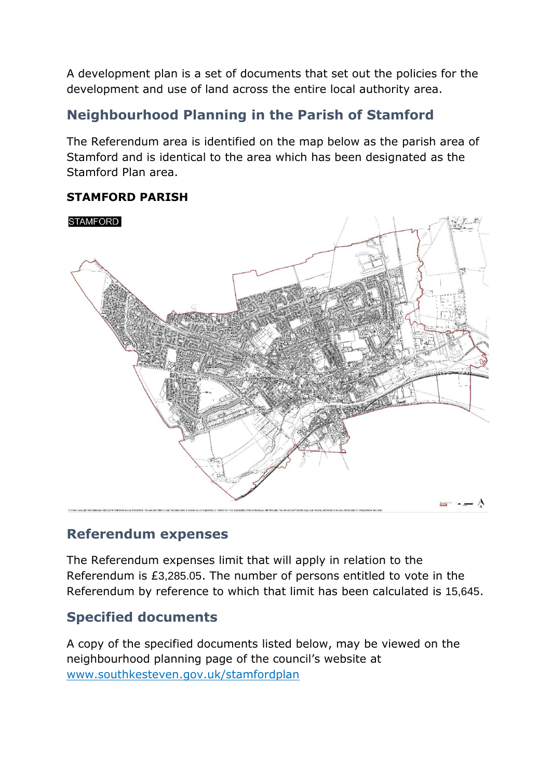A development plan is a set of documents that set out the policies for the development and use of land across the entire local authority area.

# **Neighbourhood Planning in the Parish of Stamford**

The Referendum area is identified on the map below as the parish area of Stamford and is identical to the area which has been designated as the Stamford Plan area.

#### **STAMFORD PARISH**



#### **Referendum expenses**

The Referendum expenses limit that will apply in relation to the Referendum is £3,285.05. The number of persons entitled to vote in the Referendum by reference to which that limit has been calculated is 15,645.

# **Specified documents**

A copy of the specified documents listed below, may be viewed on the neighbourhood planning page of the council's website at [www.southkesteven.gov.uk/stamfordplan](http://www.southkesteven.gov.uk/stamfordplan)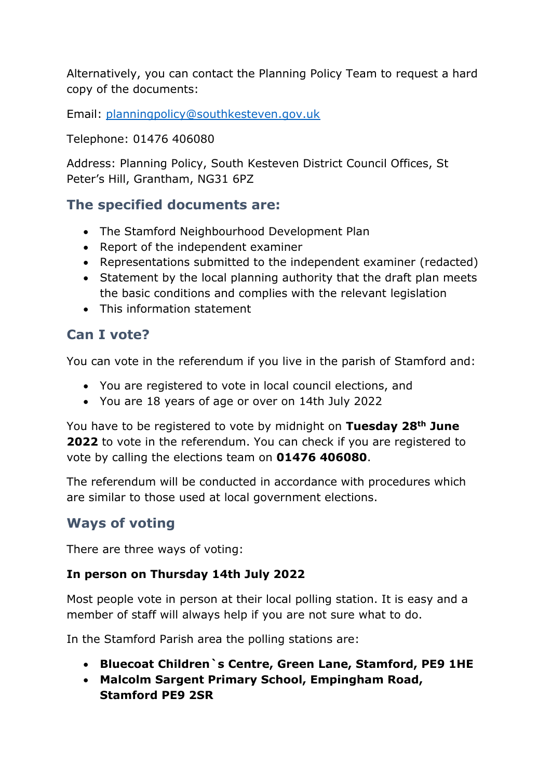Alternatively, you can contact the Planning Policy Team to request a hard copy of the documents:

Email: [planningpolicy@southkesteven.gov.uk](mailto:planningpolicy@southkesteven.gov.uk)

Telephone: 01476 406080

Address: Planning Policy, South Kesteven District Council Offices, St Peter's Hill, Grantham, NG31 6PZ

#### **The specified documents are:**

- The Stamford Neighbourhood Development Plan
- Report of the independent examiner
- Representations submitted to the independent examiner (redacted)
- Statement by the local planning authority that the draft plan meets the basic conditions and complies with the relevant legislation
- This information statement

### **Can I vote?**

You can vote in the referendum if you live in the parish of Stamford and:

- You are registered to vote in local council elections, and
- You are 18 years of age or over on 14th July 2022

You have to be registered to vote by midnight on **Tuesday 28th June 2022** to vote in the referendum. You can check if you are registered to vote by calling the elections team on **01476 406080**.

The referendum will be conducted in accordance with procedures which are similar to those used at local government elections.

# **Ways of voting**

There are three ways of voting:

#### **In person on Thursday 14th July 2022**

Most people vote in person at their local polling station. It is easy and a member of staff will always help if you are not sure what to do.

In the Stamford Parish area the polling stations are:

- **Bluecoat Children`s Centre, Green Lane, Stamford, PE9 1HE**
- **Malcolm Sargent Primary School, Empingham Road, Stamford PE9 2SR**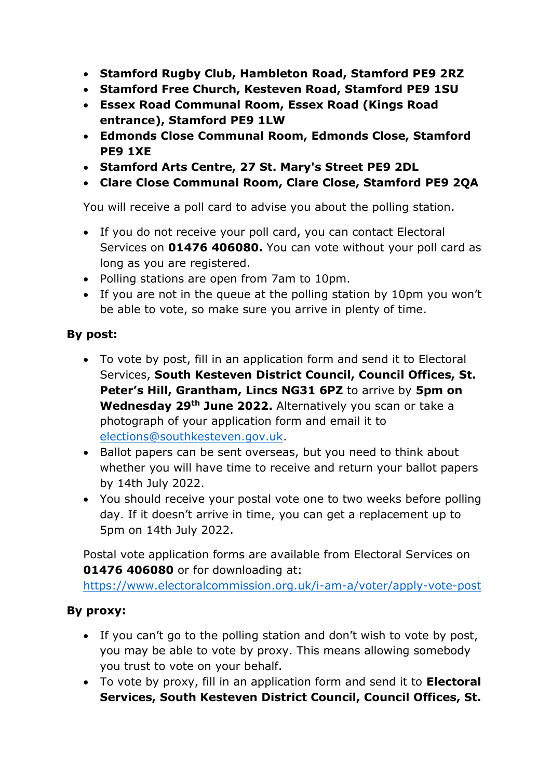- **Stamford Rugby Club, Hambleton Road, Stamford PE9 2RZ**
- **Stamford Free Church, Kesteven Road, Stamford PE9 1SU**
- **Essex Road Communal Room, Essex Road (Kings Road entrance), Stamford PE9 1LW**
- **Edmonds Close Communal Room, Edmonds Close, Stamford PE9 1XE**
- **Stamford Arts Centre, 27 St. Mary's Street PE9 2DL**
- **Clare Close Communal Room, Clare Close, Stamford PE9 2QA**

You will receive a poll card to advise you about the polling station.

- If you do not receive your poll card, you can contact Electoral Services on **01476 406080.** You can vote without your poll card as long as you are registered.
- Polling stations are open from 7am to 10pm.
- If you are not in the queue at the polling station by 10pm you won't be able to vote, so make sure you arrive in plenty of time.

#### **By post:**

- To vote by post, fill in an application form and send it to Electoral Services, **South Kesteven District Council, Council Offices, St. Peter's Hill, Grantham, Lincs NG31 6PZ** to arrive by **5pm on Wednesday 29th June 2022.** Alternatively you scan or take a photograph of your application form and email it to [elections@southkesteven.gov.uk.](mailto:elections@southkesteven.gov.uk)
- Ballot papers can be sent overseas, but you need to think about whether you will have time to receive and return your ballot papers by 14th July 2022.
- You should receive your postal vote one to two weeks before polling day. If it doesn't arrive in time, you can get a replacement up to 5pm on 14th July 2022.

Postal vote application forms are available from Electoral Services on **01476 406080** or for downloading at:

<https://www.electoralcommission.org.uk/i-am-a/voter/apply-vote-post>

#### **By proxy:**

- If you can't go to the polling station and don't wish to vote by post, you may be able to vote by proxy. This means allowing somebody you trust to vote on your behalf.
- To vote by proxy, fill in an application form and send it to **Electoral Services, South Kesteven District Council, Council Offices, St.**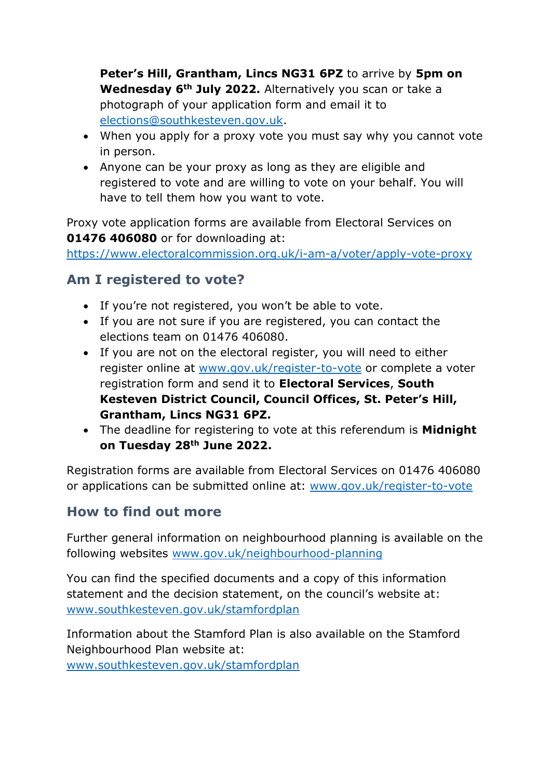**Peter's Hill, Grantham, Lincs NG31 6PZ** to arrive by **5pm on Wednesday 6th July 2022.** Alternatively you scan or take a photograph of your application form and email it to [elections@southkesteven.gov.uk.](mailto:elections@southkesteven.gov.uk)

- When you apply for a proxy vote you must say why you cannot vote in person.
- Anyone can be your proxy as long as they are eligible and registered to vote and are willing to vote on your behalf. You will have to tell them how you want to vote.

Proxy vote application forms are available from Electoral Services on **01476 406080** or for downloading at:

<https://www.electoralcommission.org.uk/i-am-a/voter/apply-vote-proxy>

# **Am I registered to vote?**

- If you're not registered, you won't be able to vote.
- If you are not sure if you are registered, you can contact the elections team on 01476 406080.
- If you are not on the electoral register, you will need to either register online at [www.gov.uk/register-to-vote](http://www.gov.uk/register-to-vote) or complete a voter registration form and send it to **Electoral Services**, **South Kesteven District Council, Council Offices, St. Peter's Hill, Grantham, Lincs NG31 6PZ.**
- The deadline for registering to vote at this referendum is **Midnight on Tuesday 28th June 2022.**

Registration forms are available from Electoral Services on 01476 406080 or applications can be submitted online at: [www.gov.uk/register-to-vote](http://www.gov.uk/register-to-vote)

# **How to find out more**

Further general information on neighbourhood planning is available on the following websites [www.gov.uk/neighbourhood-planning](http://www.gov.uk/neighbourhood-planning)

You can find the specified documents and a copy of this information statement and the decision statement, on the council's website at: [www.southkesteven.gov.uk/stamfordplan](http://www.southkesteven.gov.uk/stamfordplan)

Information about the Stamford Plan is also available on the Stamford Neighbourhood Plan website at:

[www.southkesteven.gov.uk/stamfordplan](http://www.southkesteven.gov.uk/stamfordplan)